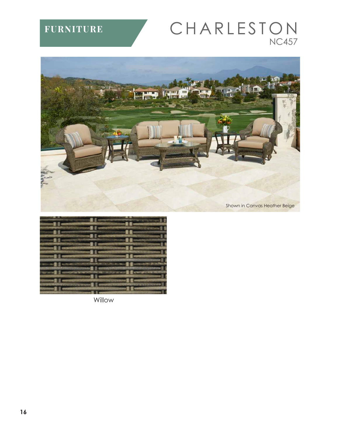## **FURNITURE**

## CHARLESTON **NC457**



| <b>Marine E. De</b>           |                      | sional E compat      | 一生老<br>n –                                 |
|-------------------------------|----------------------|----------------------|--------------------------------------------|
|                               |                      | <b>Pine I I work</b> | $-15$                                      |
| <b>County of The</b>          |                      | <b>SHIP</b>          | m<br>m                                     |
| <b>William T. Times</b>       |                      |                      | $-11-$                                     |
| <b>School &amp; Company</b>   |                      | ar e a               | ۵n<br><b>STILL</b>                         |
|                               | $\blacksquare$       |                      | 50                                         |
| <b>STATE</b>                  | $\blacksquare$       |                      | <b>STATISTICS</b><br>-11                   |
| <b>CERTIFICATE E REPORTER</b> |                      |                      | <b>AUDIT EXCHANGE</b>                      |
| werd I am                     | mad 11               |                      | <b>SINE E</b><br><b>CALL &amp; CARDSON</b> |
|                               |                      | <b>300</b>           | π                                          |
| ----                          | <b>POTATO E E</b> MI | <b>MATE</b>          |                                            |
| <b>SERVICE &amp; COMPANY</b>  |                      |                      | <b>SERVICE &amp; COMMON</b>                |
|                               | $\n  2 3 4\n$        |                      |                                            |

Willow